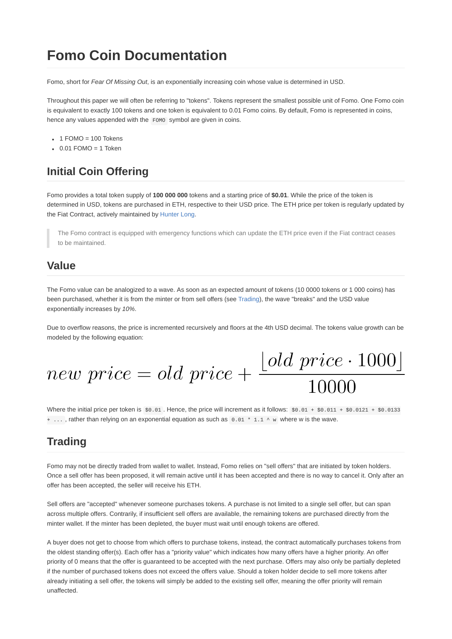# **Fomo Coin Documentation**

Fomo, short for *Fear Of Missing Out*, is an exponentially increasing coin whose value is determined in USD.

Throughout this paper we will often be referring to "tokens". Tokens represent the smallest possible unit of Fomo. One Fomo coin is equivalent to exactly 100 tokens and one token is equivalent to 0.01 Fomo coins. By default, Fomo is represented in coins, hence any values appended with the FOMO symbol are given in coins.

- $\cdot$  1 FOMO = 100 Tokens
- $\cdot$  0.01 FOMO = 1 Token

# **Initial Coin Offering**

Fomo provides a total token supply of **100 000 000** tokens and a starting price of **\$0.01**. While the price of the token is determined in USD, tokens are purchased in ETH, respective to their USD price. The ETH price per token is regularly updated by the Fiat Contract, actively maintained by [Hunter Long](https://github.com/hunterlong).

The Fomo contract is equipped with emergency functions which can update the ETH price even if the Fiat contract ceases to be maintained.

## **Value**

The Fomo value can be analogized to a wave. As soon as an expected amount of tokens (10 0000 tokens or 1 000 coins) has been purchased, whether it is from the minter or from sell offers (see Trading), the wave "breaks" and the USD value exponentially increases by *10%*.

Due to overflow reasons, the price is incremented recursively and floors at the 4th USD decimal. The tokens value growth can be modeled by the following equation:

new price = old price +  $\frac{\lfloor old\ price \cdot 1000 \rfloor}{10000}$ 

Where the initial price per token is  $$0.01$ . Hence, the price will increment as it follows:  $$0.01 + $0.011 + $0.0121 + $0.0133$ + ..., rather than relying on an exponential equation as such as  $0.01 * 1.1 \wedge w$  where w is the wave.

## **Trading**

Fomo may not be directly traded from wallet to wallet. Instead, Fomo relies on "sell offers" that are initiated by token holders. Once a sell offer has been proposed, it will remain active until it has been accepted and there is no way to cancel it. Only after an offer has been accepted, the seller will receive his ETH.

Sell offers are "accepted" whenever someone purchases tokens. A purchase is not limited to a single sell offer, but can span across multiple offers. Contrarily, if insufficient sell offers are available, the remaining tokens are purchased directly from the minter wallet. If the minter has been depleted, the buyer must wait until enough tokens are offered.

A buyer does not get to choose from which offers to purchase tokens, instead, the contract automatically purchases tokens from the oldest standing offer(s). Each offer has a "priority value" which indicates how many offers have a higher priority. An offer priority of 0 means that the offer is guaranteed to be accepted with the next purchase. Offers may also only be partially depleted if the number of purchased tokens does not exceed the offers value. Should a token holder decide to sell more tokens after already initiating a sell offer, the tokens will simply be added to the existing sell offer, meaning the offer priority will remain unaffected.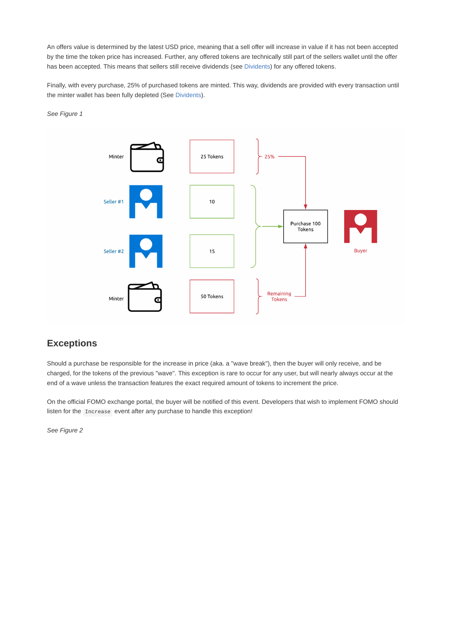An offers value is determined by the latest USD price, meaning that a sell offer will increase in value if it has not been accepted by the time the token price has increased. Further, any offered tokens are technically still part of the sellers wallet until the offer has been accepted. This means that sellers still receive dividends (see Dividents) for any offered tokens.

Finally, with every purchase, 25% of purchased tokens are minted. This way, dividends are provided with every transaction until the minter wallet has been fully depleted (See Dividents).

*See Figure 1*



#### **Exceptions**

Should a purchase be responsible for the increase in price (aka. a "wave break"), then the buyer will only receive, and be charged, for the tokens of the previous "wave". This exception is rare to occur for any user, but will nearly always occur at the end of a wave unless the transaction features the exact required amount of tokens to increment the price.

On the official FOMO exchange portal, the buyer will be notified of this event. Developers that wish to implement FOMO should listen for the Increase event after any purchase to handle this exception!

*See Figure 2*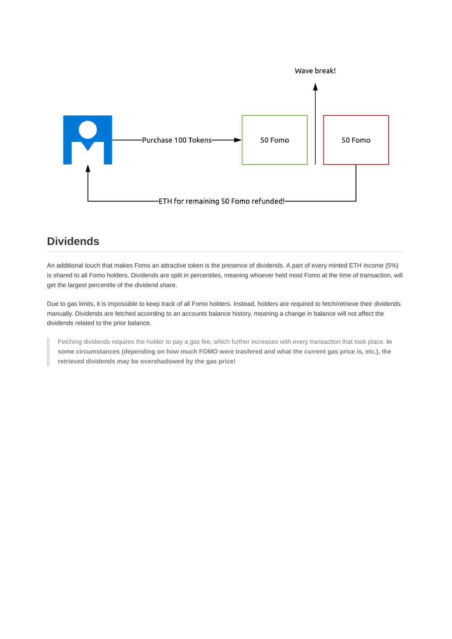

## **Dividends**

An additional touch that makes Fomo an attractive token is the presence of dividends. A part of every minted ETH income (5%) is shared to all Fomo holders. Dividends are split in percentiles, meaning whoever held most Fomo at the time of transaction, will get the largest percentile of the dividend share.

Due to gas limits, it is impossible to keep track of all Fomo holders. Instead, holders are required to fetch/retrieve their dividends manually. Dividends are fetched according to an accounts balance history, meaning a change in balance will not affect the dividends related to the prior balance.

Fetching dividends requires the holder to pay a gas fee, which further increases with every transaction that took place. **In some circumstances (depending on how much FOMO were trasfered and what the current gas price is, etc.), the retrieved dividends may be overshadowed by the gas price!**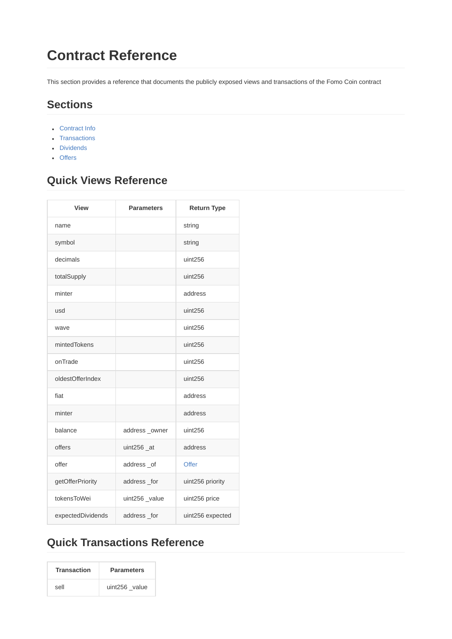# **Contract Reference**

This section provides a reference that documents the publicly exposed views and transactions of the Fomo Coin contract

## **Sections**

- Contract Info
- Transactions
- Dividends
- Offers

# **Quick Views Reference**

| <b>View</b>       | <b>Parameters</b> | <b>Return Type</b> |
|-------------------|-------------------|--------------------|
| name              |                   | string             |
| symbol            |                   | string             |
| decimals          |                   | uint256            |
| totalSupply       |                   | uint256            |
| minter            |                   | address            |
| usd               |                   | uint256            |
| wave              |                   | uint256            |
| mintedTokens      |                   | uint256            |
| onTrade           |                   | uint256            |
| oldestOfferIndex  |                   | uint256            |
| fiat              |                   | address            |
| minter            |                   | address            |
| balance           | address_owner     | uint256            |
| offers            | uint $256$ _at    | address            |
| offer             | address_of        | <b>Offer</b>       |
| getOfferPriority  | address_for       | uint256 priority   |
| tokensToWei       | uint256_value     | uint256 price      |
| expectedDividends | address_for       | uint256 expected   |

# **Quick Transactions Reference**

| <b>Transaction</b> | <b>Parameters</b> |
|--------------------|-------------------|
| sell               | uint256 value     |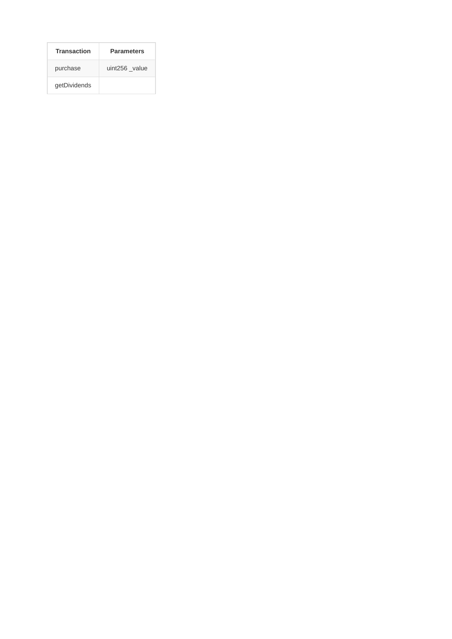| <b>Transaction</b> | <b>Parameters</b> |
|--------------------|-------------------|
| purchase           | uint256 value     |
| getDividends       |                   |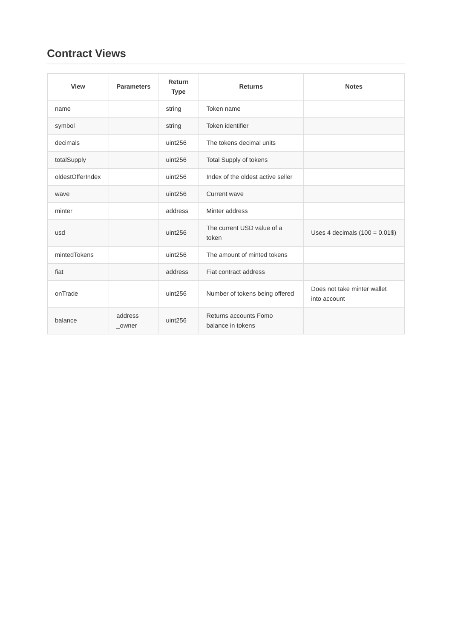# **Contract Views**

| <b>View</b>      | <b>Parameters</b> | Return<br><b>Type</b> | <b>Returns</b>                             | <b>Notes</b>                                |
|------------------|-------------------|-----------------------|--------------------------------------------|---------------------------------------------|
| name             |                   | string                | Token name                                 |                                             |
| symbol           |                   | string                | Token identifier                           |                                             |
| decimals         |                   | uint256               | The tokens decimal units                   |                                             |
| totalSupply      |                   | uint256               | Total Supply of tokens                     |                                             |
| oldestOfferIndex |                   | uint256               | Index of the oldest active seller          |                                             |
| wave             |                   | uint256               | Current wave                               |                                             |
| minter           |                   | address               | Minter address                             |                                             |
| usd              |                   | uint256               | The current USD value of a<br>token        | Uses 4 decimals $(100 = 0.01$ \$)           |
| mintedTokens     |                   | uint256               | The amount of minted tokens                |                                             |
| fiat             |                   | address               | Fiat contract address                      |                                             |
| onTrade          |                   | uint256               | Number of tokens being offered             | Does not take minter wallet<br>into account |
| balance          | address<br>_owner | uint256               | Returns accounts Fomo<br>balance in tokens |                                             |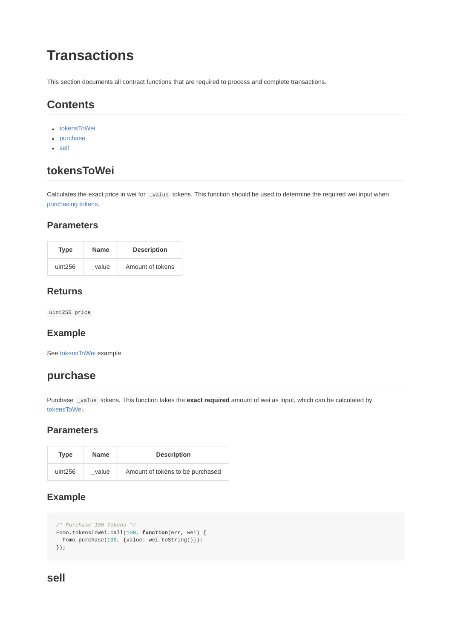# **Transactions**

This section documents all contract functions that are required to process and complete transactions.

# **Contents**

- tokensToWei
- purchase
- sell

## **tokensToWei**

Calculates the exact price in wei for \_value tokens. This function should be used to determine the required wei input when purchasing tokens.

#### **Parameters**

| Type    | <b>Name</b> | <b>Description</b> |
|---------|-------------|--------------------|
| uint256 | value       | Amount of tokens   |

#### **Returns**

uint256 price

#### **Example**

See tokensToWei example

## **purchase**

Purchase \_value tokens. This function takes the **exact required** amount of wei as input, which can be calculated by tokensToWei.

#### **Parameters**

| Type    | <b>Name</b> | <b>Description</b>               |
|---------|-------------|----------------------------------|
| uint256 | value       | Amount of tokens to be purchased |

## **Example**

```
/* Purchase 100 Tokens */
Fomo.tokensToWei.call(100, function(err, wei) {
 Fomo.purchase(100, {value: wei.toString()});
});
```
## **sell**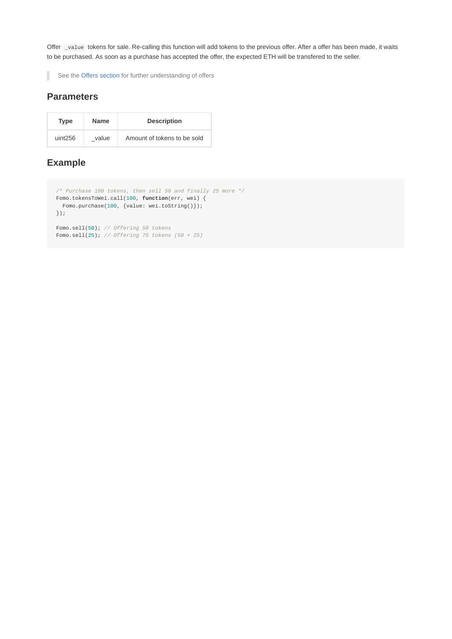Offer \_value tokens for sale. Re-calling this function will add tokens to the previous offer. After a offer has been made, it waits to be purchased. As soon as a purchase has accepted the offer, the expected ETH will be transfered to the seller.

See the [Offers section](file:///tmp/mkbooks/offers.md) for further understanding of offers

#### **Parameters**

ı

| <b>Type</b> | Name  | <b>Description</b>          |
|-------------|-------|-----------------------------|
| uint256     | value | Amount of tokens to be sold |

## **Example**

```
/* Purchase 100 tokens, then sell 50 and finally 25 more */
Fomo.tokensToWei.call(100, function(err, wei) {
 Fomo.purchase(100, {value: wei.toString()});
});
Fomo.sell(50); // Offering 50 tokens
Fomo.sell(25); // Offering 75 tokens (50 + 25)
```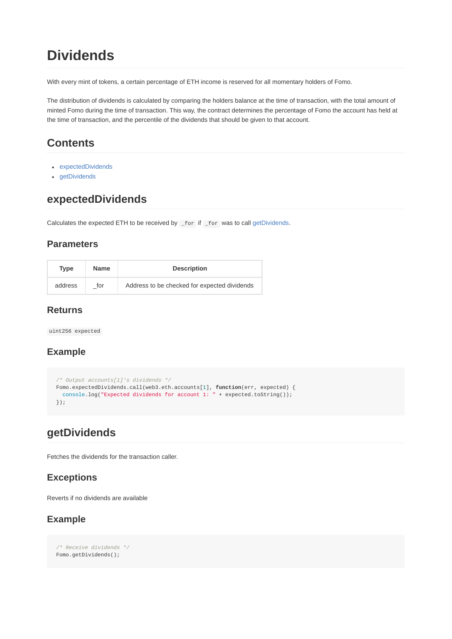# **Dividends**

With every mint of tokens, a certain percentage of ETH income is reserved for all momentary holders of Fomo.

The distribution of dividends is calculated by comparing the holders balance at the time of transaction, with the total amount of minted Fomo during the time of transaction. This way, the contract determines the percentage of Fomo the account has held at the time of transaction, and the percentile of the dividends that should be given to that account.

# **Contents**

- expectedDividends
- getDividends

## **expectedDividends**

Calculates the expected ETH to be received by \_for if \_for was to call getDividends.

#### **Parameters**

| Type    | <b>Name</b> | <b>Description</b>                           |
|---------|-------------|----------------------------------------------|
| address | for         | Address to be checked for expected dividends |

#### **Returns**

uint256 expected

### **Example**

```
/* Output accounts[1]'s dividends */
Fomo.expectedDividends.call(web3.eth.accounts[1], function(err, expected) {
 console.log("Expected dividends for account 1: " + expected.toString());
});
```
## **getDividends**

Fetches the dividends for the transaction caller.

### **Exceptions**

Reverts if no dividends are available

### **Example**

*/\* Receive dividends \*/* Fomo.getDividends();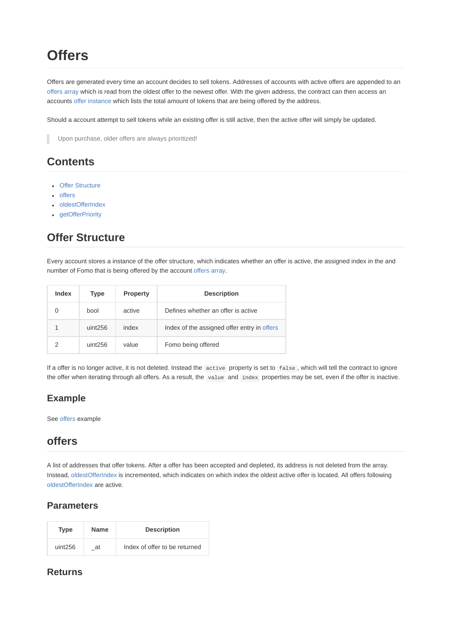# **Offers**

Offers are generated every time an account decides to sell tokens. Addresses of accounts with active offers are appended to an offers array which is read from the oldest offer to the newest offer. With the given address, the contract can then access an accounts [offer instance](file:///tmp/mkbooks/offer-Structure) which lists the total amount of tokens that are being offered by the address.

Should a account attempt to sell tokens while an existing offer is still active, then the active offer will simply be updated.

Upon purchase, older offers are always prioritized!

## **Contents**

- Offer Structure
- offers
- oldestOfferIndex
- qetOfferPriority

# **Offer Structure**

Every account stores a instance of the offer structure, which indicates whether an offer is active, the assigned index in the and number of Fomo that is being offered by the account [offers array.](file:///tmp/mkbooks/offers)

| Index | Type    | <b>Property</b> | <b>Description</b>                          |
|-------|---------|-----------------|---------------------------------------------|
|       | bool    | active          | Defines whether an offer is active          |
|       | uint256 | index           | Index of the assigned offer entry in offers |
|       | uint256 | value           | Fomo being offered                          |

If a offer is no longer active, it is not deleted. Instead the active property is set to false , which will tell the contract to ignore the offer when iterating through all offers. As a result, the value and index properties may be set, even if the offer is inactive.

### **Example**

See offers example

## **offers**

A list of addresses that offer tokens. After a offer has been accepted and depleted, its address is not deleted from the array. Instead, oldestOfferIndex is incremented, which indicates on which index the oldest active offer is located. All offers following oldestOfferIndex are active.

#### **Parameters**

| Type    | <b>Name</b> | <b>Description</b>            |
|---------|-------------|-------------------------------|
| uint256 | at          | Index of offer to be returned |

#### **Returns**